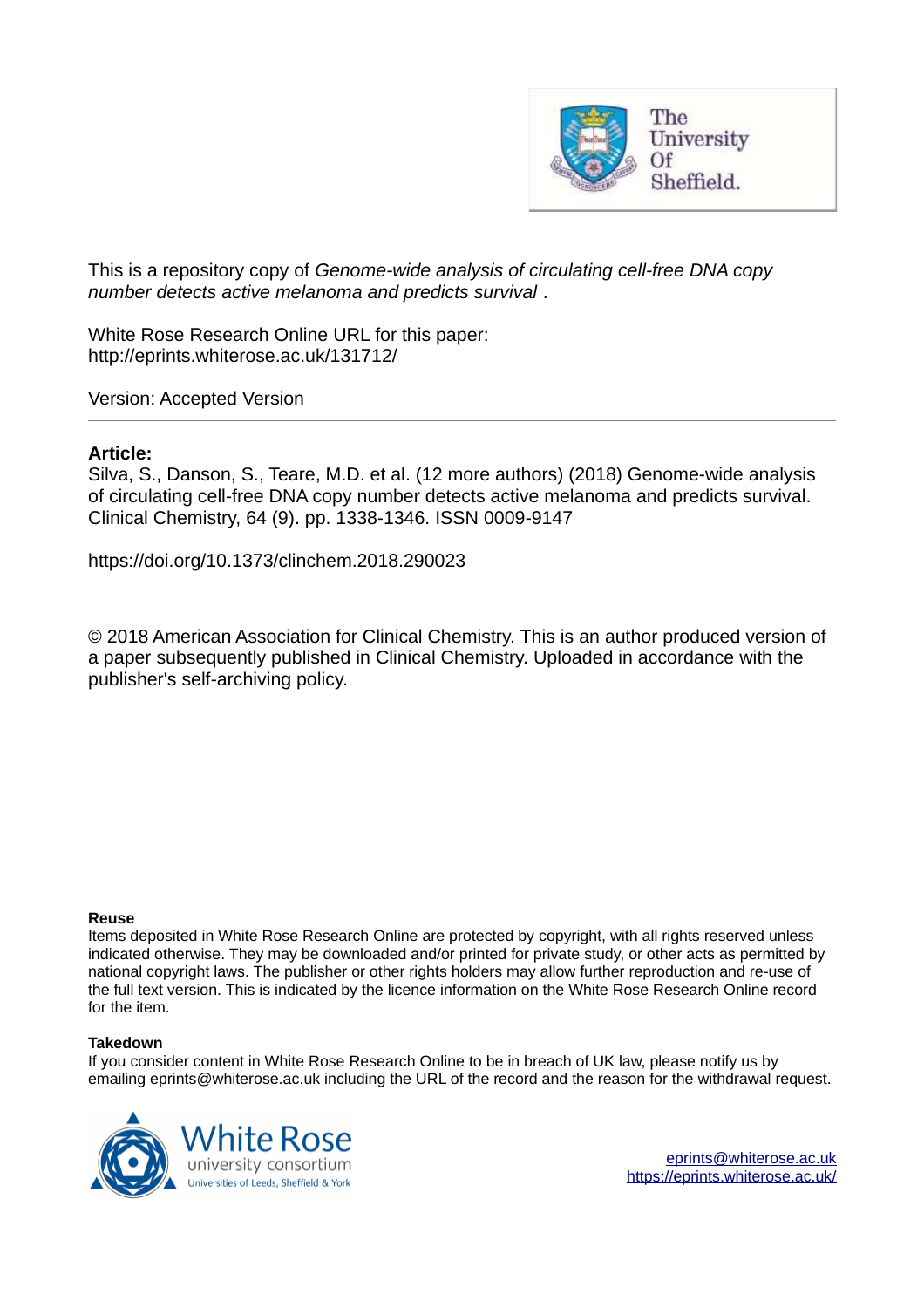

This is a repository copy of *Genome-wide analysis of circulating cell-free DNA copy number detects active melanoma and predicts survival* .

White Rose Research Online URL for this paper: http://eprints.whiterose.ac.uk/131712/

Version: Accepted Version

#### **Article:**

Silva, S., Danson, S., Teare, M.D. et al. (12 more authors) (2018) Genome-wide analysis of circulating cell-free DNA copy number detects active melanoma and predicts survival. Clinical Chemistry, 64 (9). pp. 1338-1346. ISSN 0009-9147

https://doi.org/10.1373/clinchem.2018.290023

© 2018 American Association for Clinical Chemistry. This is an author produced version of a paper subsequently published in Clinical Chemistry. Uploaded in accordance with the publisher's self-archiving policy.

#### **Reuse**

Items deposited in White Rose Research Online are protected by copyright, with all rights reserved unless indicated otherwise. They may be downloaded and/or printed for private study, or other acts as permitted by national copyright laws. The publisher or other rights holders may allow further reproduction and re-use of the full text version. This is indicated by the licence information on the White Rose Research Online record for the item.

#### **Takedown**

If you consider content in White Rose Research Online to be in breach of UK law, please notify us by emailing eprints@whiterose.ac.uk including the URL of the record and the reason for the withdrawal request.



[eprints@whiterose.ac.uk](mailto:eprints@whiterose.ac.uk) <https://eprints.whiterose.ac.uk/>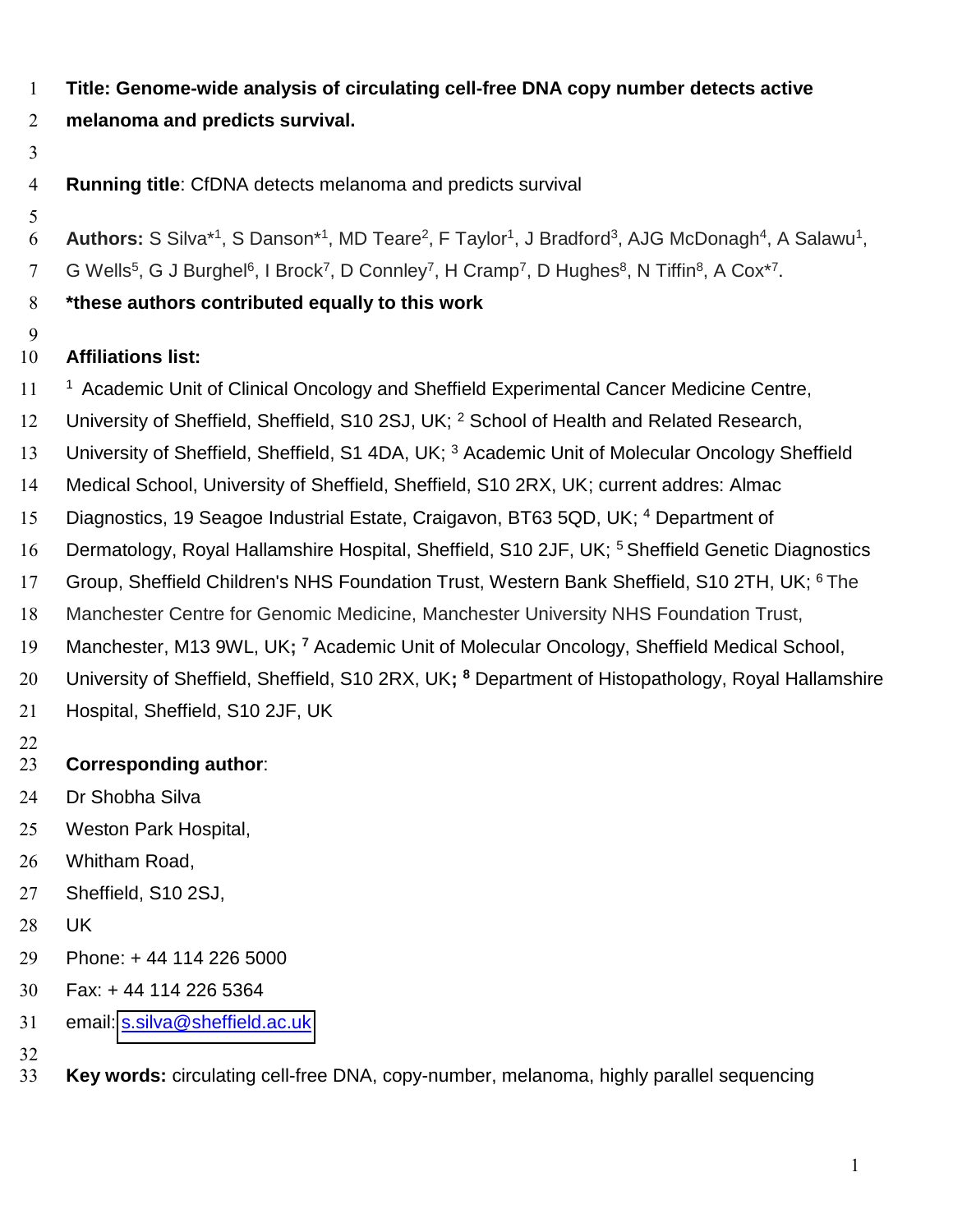- **Title: Genome-wide analysis of circulating cell-free DNA copy number detects active**
- **melanoma and predicts survival.**
- 
- **Running title**: CfDNA detects melanoma and predicts survival
- 
- 6 **Authors:** S Silva<sup>\*1</sup>, S Danson<sup>\*1</sup>, MD Teare<sup>2</sup>, F Taylor<sup>1</sup>, J Bradford<sup>3</sup>, AJG McDonagh<sup>4</sup>, A Salawu<sup>1</sup>,
- 7 G Wells<sup>5</sup>, G J Burghel<sup>6</sup>, I Brock<sup>7</sup>, D Connley<sup>7</sup>, H Cramp<sup>7</sup>, D Hughes<sup>8</sup>, N Tiffin<sup>8</sup>, A Cox<sup>\*7</sup>.
- **\*these authors contributed equally to this work**
- 

## **Affiliations list:**

- 11<sup>1</sup> Academic Unit of Clinical Oncology and Sheffield Experimental Cancer Medicine Centre,
- 12 University of Sheffield, Sheffield, S10 2SJ, UK; <sup>2</sup> School of Health and Related Research,
- 13 University of Sheffield, Sheffield, S1 4DA, UK; <sup>3</sup> Academic Unit of Molecular Oncology Sheffield
- Medical School, University of Sheffield, Sheffield, S10 2RX, UK; current addres: Almac
- 15 Diagnostics, 19 Seagoe Industrial Estate, Craigavon, BT63 5QD, UK; <sup>4</sup> Department of
- 16 Dermatology, Royal Hallamshire Hospital, Sheffield, S10 2JF, UK; <sup>5</sup> Sheffield Genetic Diagnostics
- 17 Group, Sheffield Children's NHS Foundation Trust, Western Bank Sheffield, S10 2TH, UK; <sup>6</sup>The
- Manchester Centre for Genomic Medicine, Manchester University NHS Foundation Trust,
- 19 Manchester, M13 9WL, UK; <sup>7</sup> Academic Unit of Molecular Oncology, Sheffield Medical School,
- 20 University of Sheffield, Sheffield, S10 2RX, UK; <sup>8</sup> Department of Histopathology, Royal Hallamshire
- Hospital, Sheffield, S10 2JF, UK
- 

# **Corresponding author**:

- Dr Shobha Silva
- Weston Park Hospital,
- Whitham Road,
- Sheffield, S10 2SJ,
- UK
- Phone: + 44 114 226 5000
- Fax: + 44 114 226 5364
- email: [s.silva@sheffield.ac.uk](mailto:s.danson@sheffield.ac.uk)
- 
- **Key words:** circulating cell-free DNA, copy-number, melanoma, highly parallel sequencing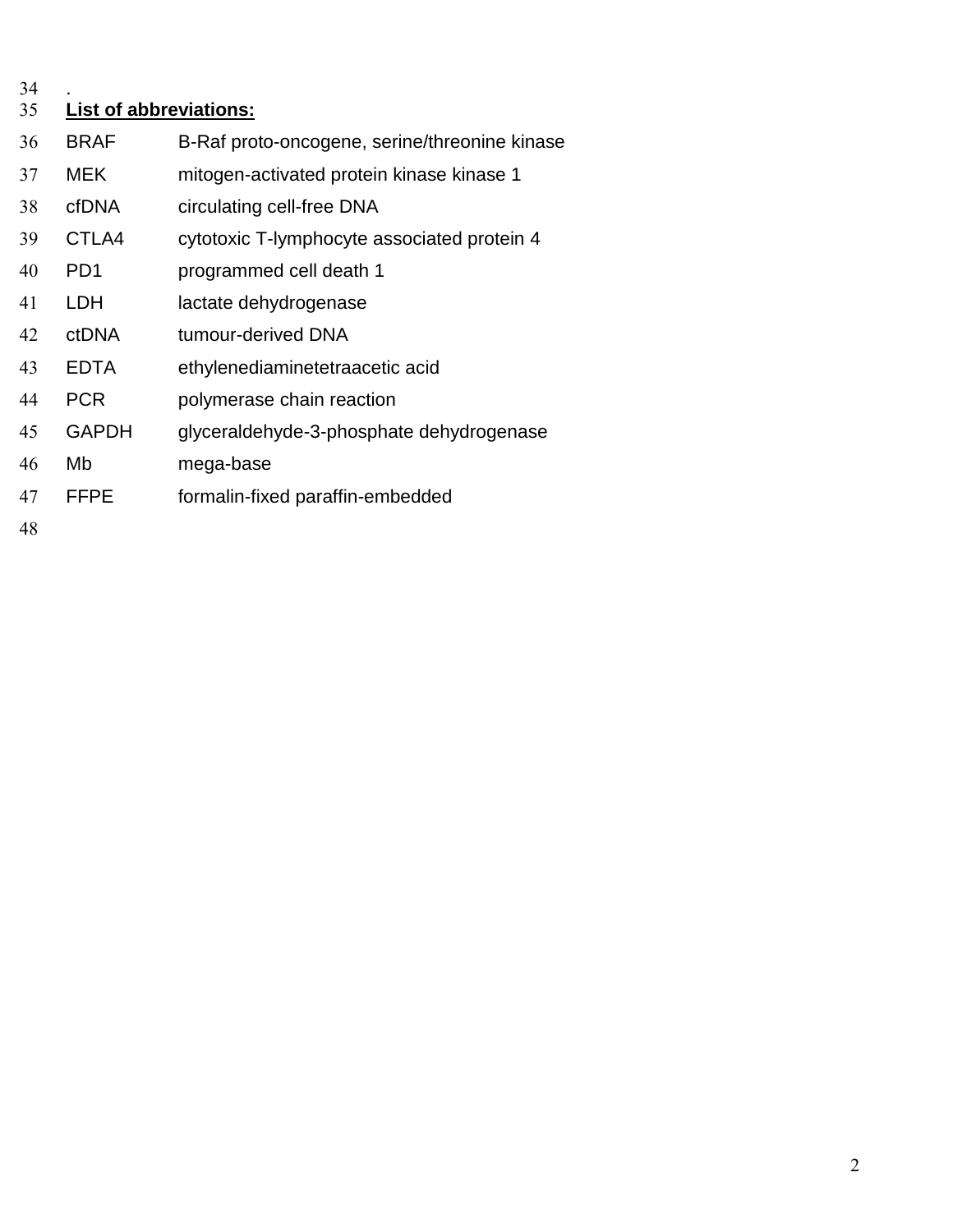.

## **List of abbreviations:**

- BRAF B-Raf proto-oncogene, serine/threonine kinase MEK mitogen-activated protein kinase kinase 1 cfDNA circulating cell-free DNA CTLA4 cytotoxic T-lymphocyte associated protein 4 PD1 programmed cell death 1 LDH lactate dehydrogenase ctDNA tumour-derived DNA EDTA ethylenediaminetetraacetic acid PCR polymerase chain reaction GAPDH glyceraldehyde-3-phosphate dehydrogenase
- Mb mega-base
- FFPE formalin-fixed paraffin-embedded
-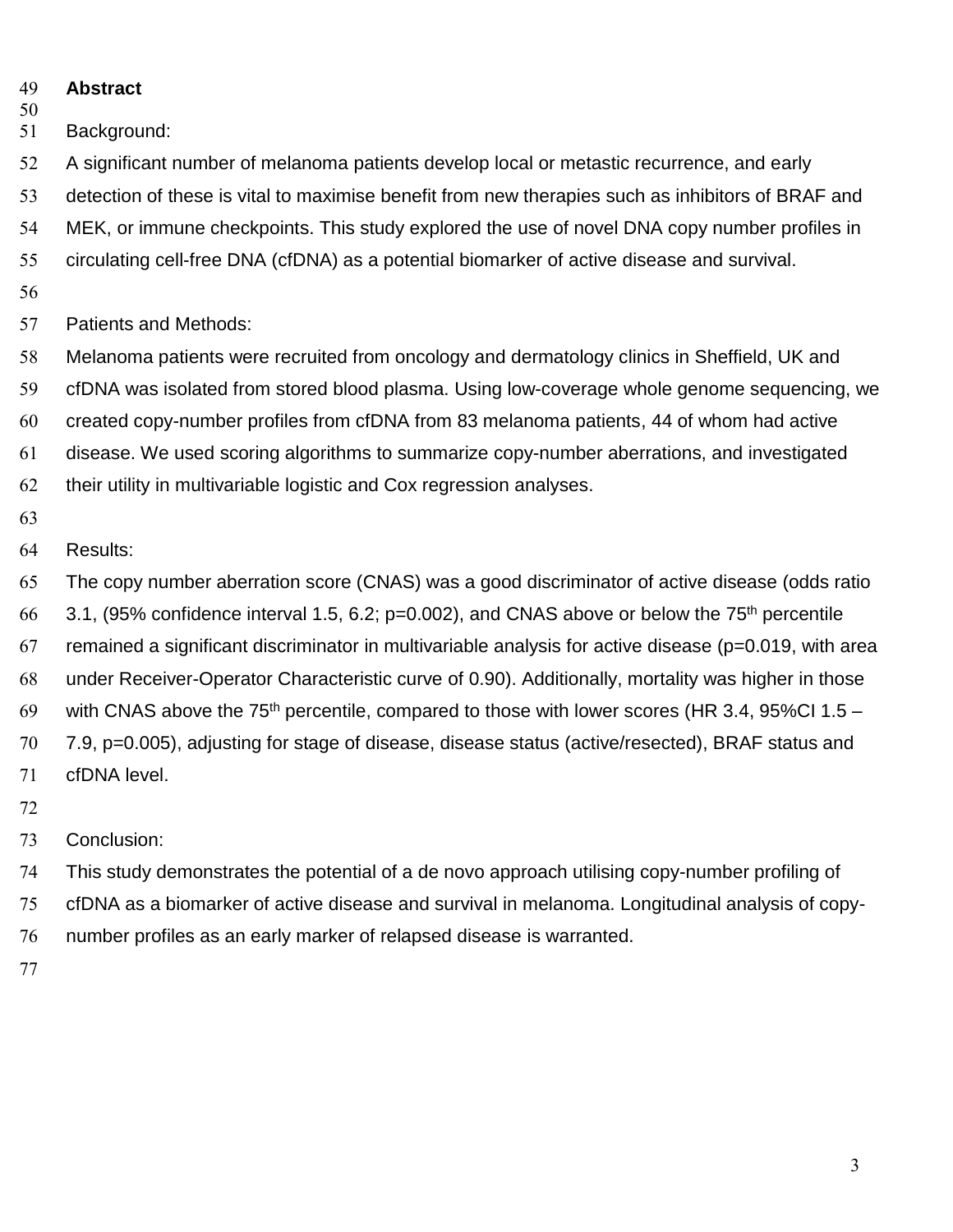- **Abstract**
- 

Background:

A significant number of melanoma patients develop local or metastic recurrence, and early

detection of these is vital to maximise benefit from new therapies such as inhibitors of BRAF and

MEK, or immune checkpoints. This study explored the use of novel DNA copy number profiles in

- circulating cell-free DNA (cfDNA) as a potential biomarker of active disease and survival.
- 
- Patients and Methods:

Melanoma patients were recruited from oncology and dermatology clinics in Sheffield, UK and

cfDNA was isolated from stored blood plasma. Using low-coverage whole genome sequencing, we

created copy-number profiles from cfDNA from 83 melanoma patients, 44 of whom had active

disease. We used scoring algorithms to summarize copy-number aberrations, and investigated

their utility in multivariable logistic and Cox regression analyses.

## Results:

The copy number aberration score (CNAS) was a good discriminator of active disease (odds ratio

3.1, (95% confidence interval 1.5, 6.2; p=0.002), and CNAS above or below the 75<sup>th</sup> percentile

67 remained a significant discriminator in multivariable analysis for active disease ( $p=0.019$ , with area

under Receiver-Operator Characteristic curve of 0.90). Additionally, mortality was higher in those

69 with CNAS above the 75<sup>th</sup> percentile, compared to those with lower scores (HR 3.4, 95%CI 1.5 – 7.9, p=0.005), adjusting for stage of disease, disease status (active/resected), BRAF status and

cfDNA level.

Conclusion:

This study demonstrates the potential of a de novo approach utilising copy-number profiling of

cfDNA as a biomarker of active disease and survival in melanoma. Longitudinal analysis of copy-

- number profiles as an early marker of relapsed disease is warranted.
-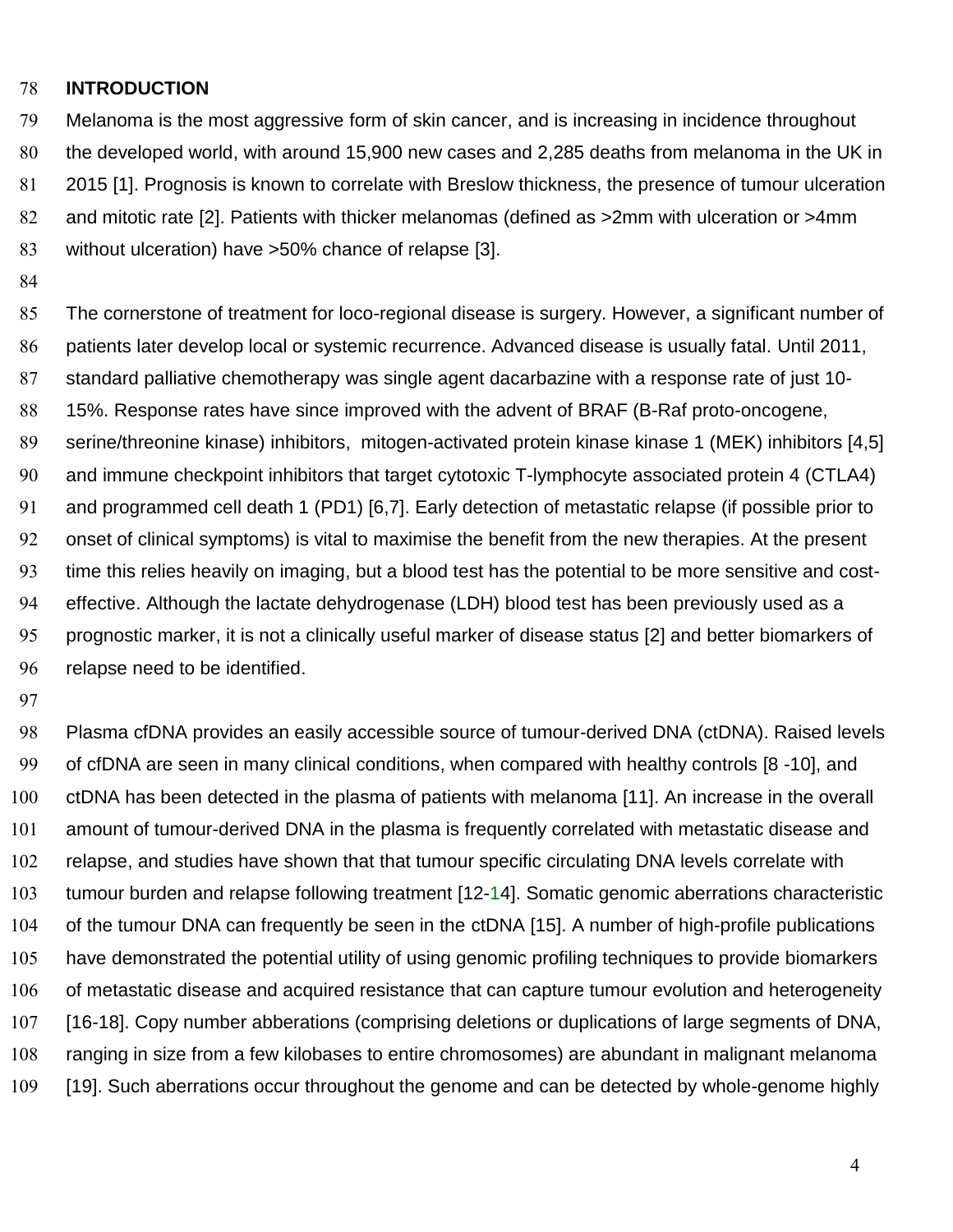#### **INTRODUCTION**

Melanoma is the most aggressive form of skin cancer, and is increasing in incidence throughout the developed world, with around 15,900 new cases and 2,285 deaths from melanoma in the UK in 2015 [1]. Prognosis is known to correlate with Breslow thickness, the presence of tumour ulceration and mitotic rate [2]. Patients with thicker melanomas (defined as >2mm with ulceration or >4mm without ulceration) have >50% chance of relapse [3].

The cornerstone of treatment for loco-regional disease is surgery. However, a significant number of patients later develop local or systemic recurrence. Advanced disease is usually fatal. Until 2011, standard palliative chemotherapy was single agent dacarbazine with a response rate of just 10- 15%. Response rates have since improved with the advent of BRAF (B-Raf proto-oncogene, serine/threonine kinase) inhibitors, mitogen-activated protein kinase kinase 1 (MEK) inhibitors [4,5] and immune checkpoint inhibitors that target cytotoxic T-lymphocyte associated protein 4 (CTLA4) and programmed cell death 1 (PD1) [6,7]. Early detection of metastatic relapse (if possible prior to onset of clinical symptoms) is vital to maximise the benefit from the new therapies. At the present time this relies heavily on imaging, but a blood test has the potential to be more sensitive and cost-effective. Although the lactate dehydrogenase (LDH) blood test has been previously used as a prognostic marker, it is not a clinically useful marker of disease status [2] and better biomarkers of relapse need to be identified.

Plasma cfDNA provides an easily accessible source of tumour-derived DNA (ctDNA). Raised levels of cfDNA are seen in many clinical conditions, when compared with healthy controls [8 -10], and ctDNA has been detected in the plasma of patients with melanoma [11]. An increase in the overall amount of tumour-derived DNA in the plasma is frequently correlated with metastatic disease and relapse, and studies have shown that that tumour specific circulating DNA levels correlate with tumour burden and relapse following treatment [12-14]. Somatic genomic aberrations characteristic of the tumour DNA can frequently be seen in the ctDNA [15]. A number of high-profile publications have demonstrated the potential utility of using genomic profiling techniques to provide biomarkers of metastatic disease and acquired resistance that can capture tumour evolution and heterogeneity [16-18]. Copy number abberations (comprising deletions or duplications of large segments of DNA, ranging in size from a few kilobases to entire chromosomes) are abundant in malignant melanoma [19]. Such aberrations occur throughout the genome and can be detected by whole-genome highly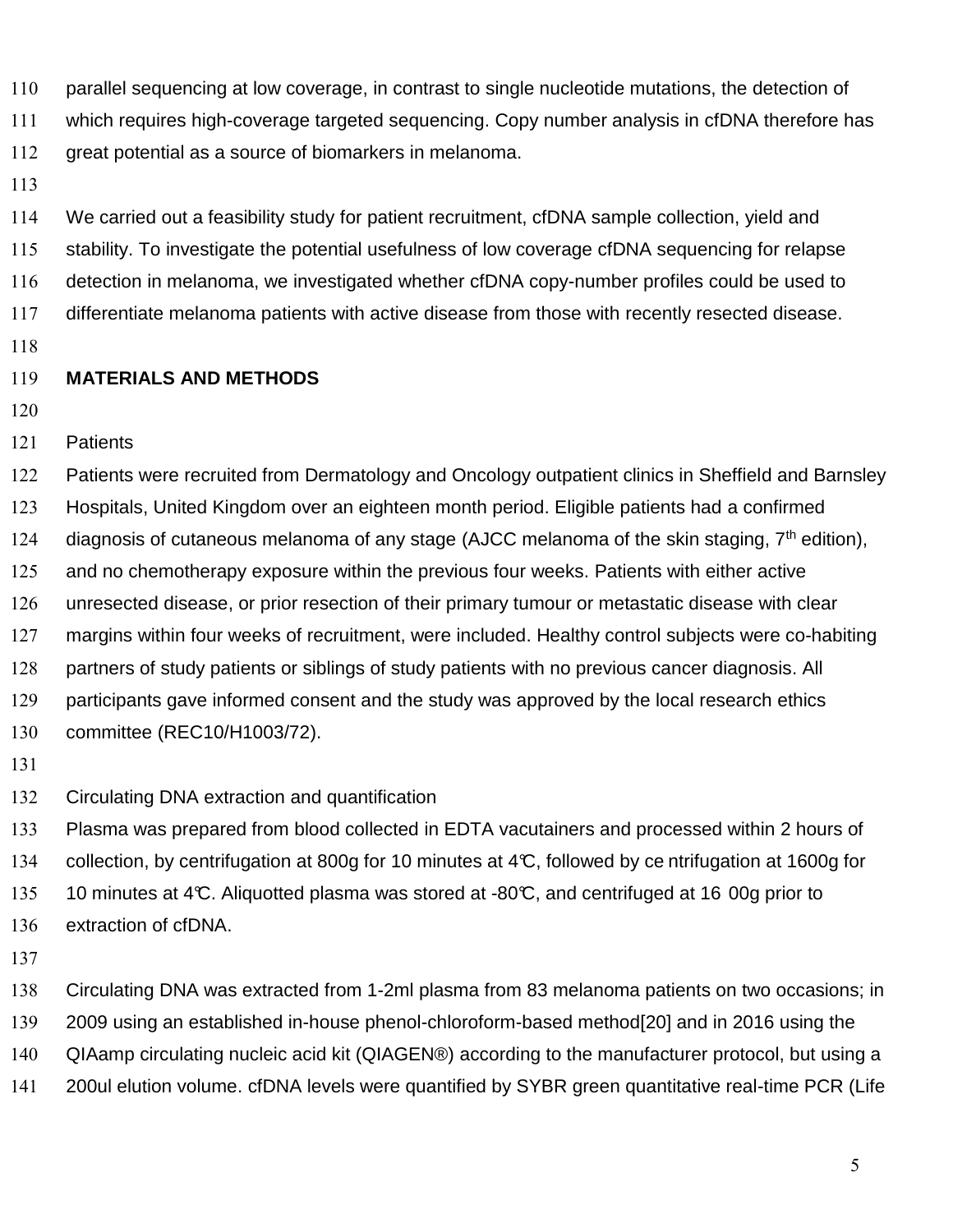parallel sequencing at low coverage, in contrast to single nucleotide mutations, the detection of

which requires high-coverage targeted sequencing. Copy number analysis in cfDNA therefore has

great potential as a source of biomarkers in melanoma.

We carried out a feasibility study for patient recruitment, cfDNA sample collection, yield and stability. To investigate the potential usefulness of low coverage cfDNA sequencing for relapse detection in melanoma, we investigated whether cfDNA copy-number profiles could be used to differentiate melanoma patients with active disease from those with recently resected disease.

### **MATERIALS AND METHODS**

- 
- Patients

Patients were recruited from Dermatology and Oncology outpatient clinics in Sheffield and Barnsley Hospitals, United Kingdom over an eighteen month period. Eligible patients had a confirmed 124 diagnosis of cutaneous melanoma of any stage (AJCC melanoma of the skin staging,  $7<sup>th</sup>$  edition), 125 and no chemotherapy exposure within the previous four weeks. Patients with either active unresected disease, or prior resection of their primary tumour or metastatic disease with clear margins within four weeks of recruitment, were included. Healthy control subjects were co-habiting 128 partners of study patients or siblings of study patients with no previous cancer diagnosis. All participants gave informed consent and the study was approved by the local research ethics committee (REC10/H1003/72).

- 
- Circulating DNA extraction and quantification

Plasma was prepared from blood collected in EDTA vacutainers and processed within 2 hours of collection, by centrifugation at 800g for 10 minutes at 4°C, followed by ce ntrifugation at 1600g for 135 10 minutes at 4°C. Aliquotted plasma was stored at -80°C, and centrifuged at 16 00g prior to extraction of cfDNA.

Circulating DNA was extracted from 1-2ml plasma from 83 melanoma patients on two occasions; in 2009 using an established in-house phenol-chloroform-based method[20] and in 2016 using the QIAamp circulating nucleic acid kit (QIAGEN®) according to the manufacturer protocol, but using a 200ul elution volume. cfDNA levels were quantified by SYBR green quantitative real-time PCR (Life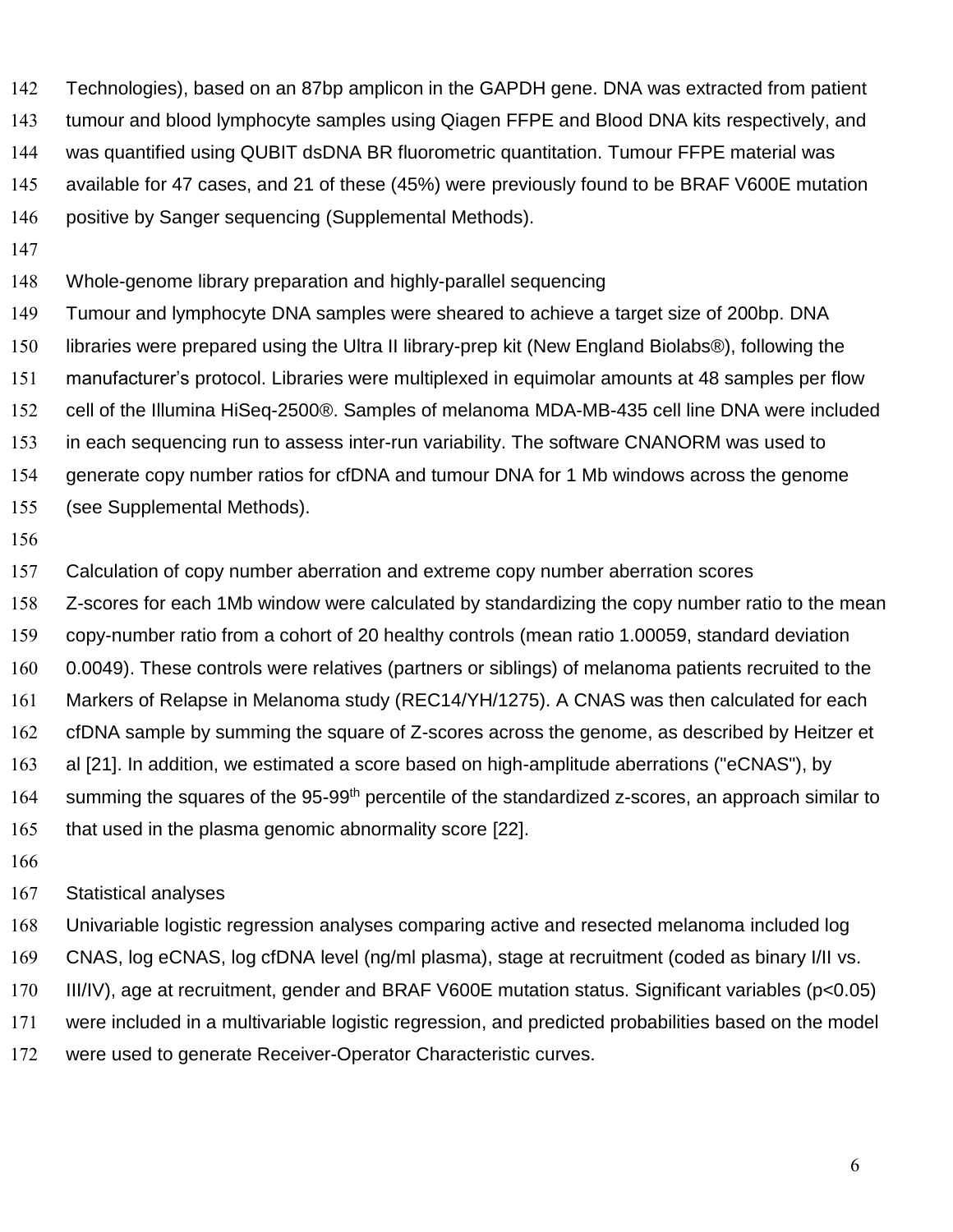Technologies), based on an 87bp amplicon in the GAPDH gene. DNA was extracted from patient tumour and blood lymphocyte samples using Qiagen FFPE and Blood DNA kits respectively, and was quantified using QUBIT dsDNA BR fluorometric quantitation. Tumour FFPE material was available for 47 cases, and 21 of these (45%) were previously found to be BRAF V600E mutation positive by Sanger sequencing (Supplemental Methods).

Whole-genome library preparation and highly-parallel sequencing

Tumour and lymphocyte DNA samples were sheared to achieve a target size of 200bp. DNA libraries were prepared using the Ultra II library-prep kit (New England Biolabs®), following the manufacturer's protocol. Libraries were multiplexed in equimolar amounts at 48 samples per flow cell of the Illumina HiSeq-2500®. Samples of melanoma MDA-MB-435 cell line DNA were included in each sequencing run to assess inter-run variability. The software CNANORM was used to generate copy number ratios for cfDNA and tumour DNA for 1 Mb windows across the genome

- (see Supplemental Methods).
- 

Calculation of copy number aberration and extreme copy number aberration scores

Z-scores for each 1Mb window were calculated by standardizing the copy number ratio to the mean

copy-number ratio from a cohort of 20 healthy controls (mean ratio 1.00059, standard deviation

0.0049). These controls were relatives (partners or siblings) of melanoma patients recruited to the

Markers of Relapse in Melanoma study (REC14/YH/1275). A CNAS was then calculated for each

cfDNA sample by summing the square of Z-scores across the genome, as described by Heitzer et

al [21]. In addition, we estimated a score based on high-amplitude aberrations ("eCNAS"), by

164 summing the squares of the 95-99<sup>th</sup> percentile of the standardized z-scores, an approach similar to

that used in the plasma genomic abnormality score [22].

#### Statistical analyses

Univariable logistic regression analyses comparing active and resected melanoma included log CNAS, log eCNAS, log cfDNA level (ng/ml plasma), stage at recruitment (coded as binary I/II vs.

III/IV), age at recruitment, gender and BRAF V600E mutation status. Significant variables (p<0.05)

were included in a multivariable logistic regression, and predicted probabilities based on the model

were used to generate Receiver-Operator Characteristic curves.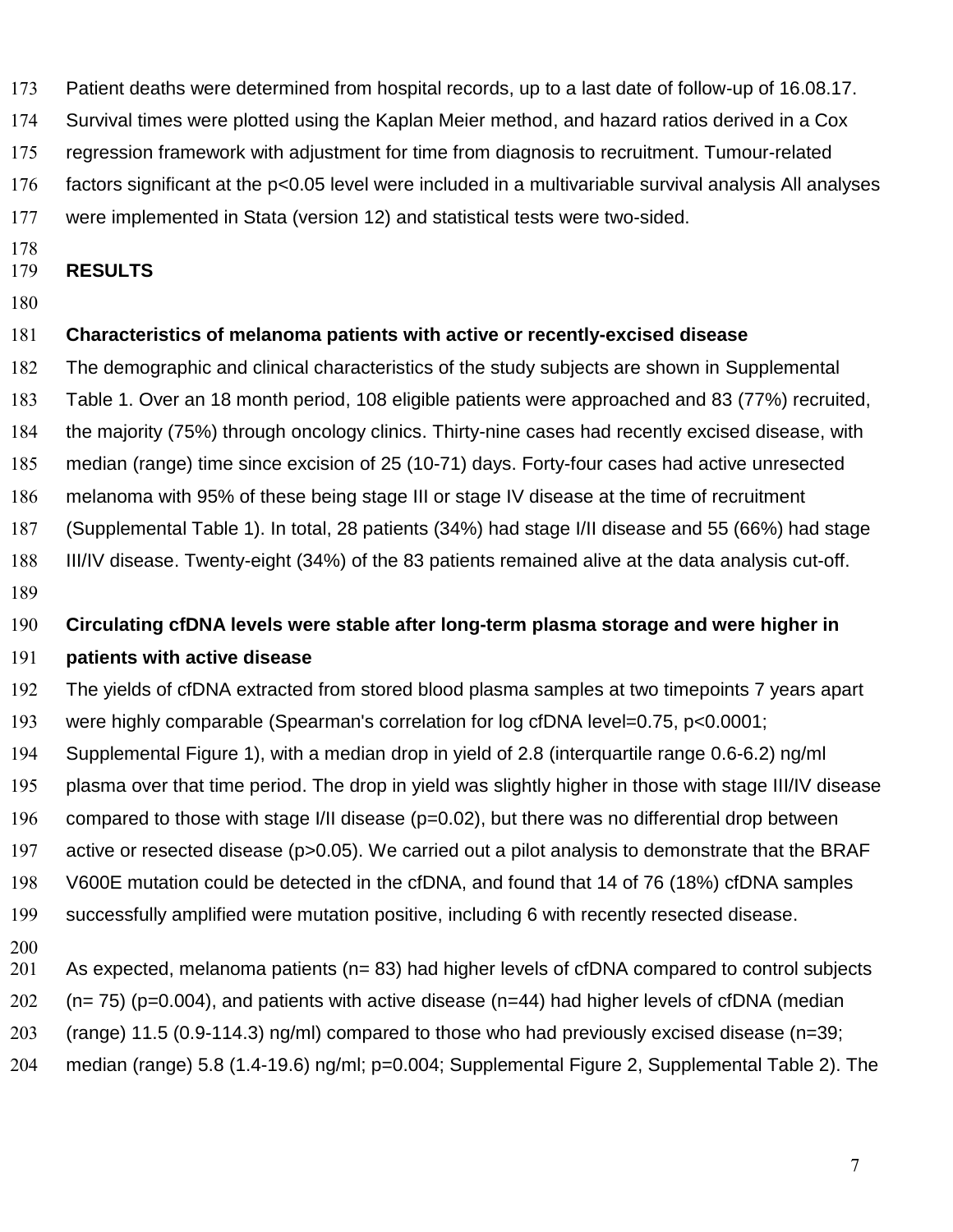Patient deaths were determined from hospital records, up to a last date of follow-up of 16.08.17.

Survival times were plotted using the Kaplan Meier method, and hazard ratios derived in a Cox

regression framework with adjustment for time from diagnosis to recruitment. Tumour-related

factors significant at the p<0.05 level were included in a multivariable survival analysis All analyses

were implemented in Stata (version 12) and statistical tests were two-sided.

### **RESULTS**

## **Characteristics of melanoma patients with active or recently-excised disease**

The demographic and clinical characteristics of the study subjects are shown in Supplemental Table 1. Over an 18 month period, 108 eligible patients were approached and 83 (77%) recruited, the majority (75%) through oncology clinics. Thirty-nine cases had recently excised disease, with median (range) time since excision of 25 (10-71) days. Forty-four cases had active unresected melanoma with 95% of these being stage III or stage IV disease at the time of recruitment (Supplemental Table 1). In total, 28 patients (34%) had stage I/II disease and 55 (66%) had stage III/IV disease. Twenty-eight (34%) of the 83 patients remained alive at the data analysis cut-off. 

**Circulating cfDNA levels were stable after long-term plasma storage and were higher in** 

### **patients with active disease**

The yields of cfDNA extracted from stored blood plasma samples at two timepoints 7 years apart

- were highly comparable (Spearman's correlation for log cfDNA level=0.75, p<0.0001;
- Supplemental Figure 1), with a median drop in yield of 2.8 (interquartile range 0.6-6.2) ng/ml
- plasma over that time period. The drop in yield was slightly higher in those with stage III/IV disease
- compared to those with stage I/II disease (p=0.02), but there was no differential drop between
- active or resected disease (p>0.05). We carried out a pilot analysis to demonstrate that the BRAF
- V600E mutation could be detected in the cfDNA, and found that 14 of 76 (18%) cfDNA samples
- successfully amplified were mutation positive, including 6 with recently resected disease.
- 
- 201 As expected, melanoma patients (n= 83) had higher levels of cfDNA compared to control subjects
- 202  $(n= 75)$  (p=0.004), and patients with active disease (n=44) had higher levels of cfDNA (median
- (range) 11.5 (0.9-114.3) ng/ml) compared to those who had previously excised disease (n=39;
- median (range) 5.8 (1.4-19.6) ng/ml; p=0.004; Supplemental Figure 2, Supplemental Table 2). The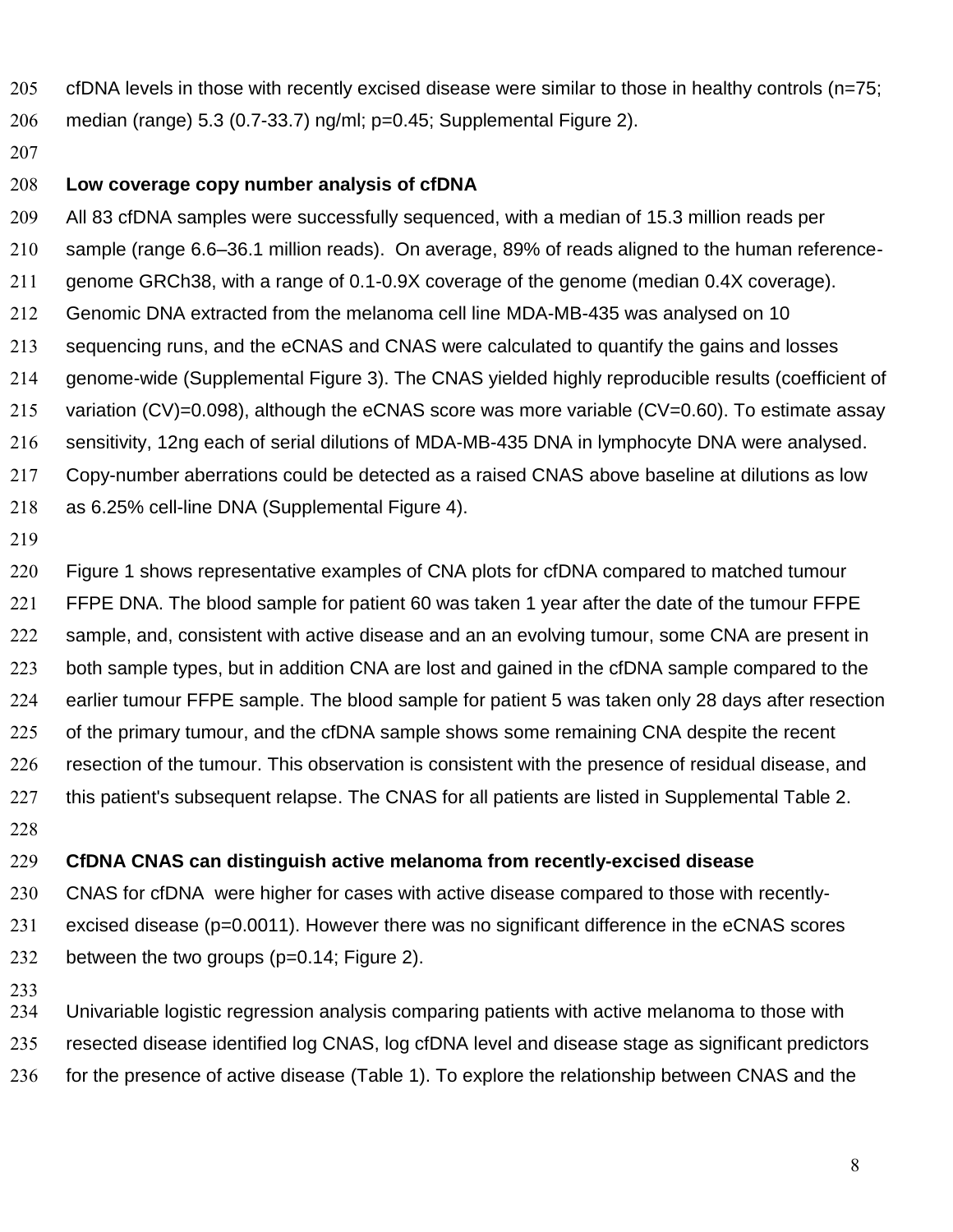- cfDNA levels in those with recently excised disease were similar to those in healthy controls (n=75; median (range) 5.3 (0.7-33.7) ng/ml; p=0.45; Supplemental Figure 2).
- 

### **Low coverage copy number analysis of cfDNA**

All 83 cfDNA samples were successfully sequenced, with a median of 15.3 million reads per sample (range 6.6–36.1 million reads). On average, 89% of reads aligned to the human reference-genome GRCh38, with a range of 0.1-0.9X coverage of the genome (median 0.4X coverage). Genomic DNA extracted from the melanoma cell line MDA-MB-435 was analysed on 10 sequencing runs, and the eCNAS and CNAS were calculated to quantify the gains and losses genome-wide (Supplemental Figure 3). The CNAS yielded highly reproducible results (coefficient of 215 variation (CV)=0.098), although the eCNAS score was more variable (CV=0.60). To estimate assay sensitivity, 12ng each of serial dilutions of MDA-MB-435 DNA in lymphocyte DNA were analysed. Copy-number aberrations could be detected as a raised CNAS above baseline at dilutions as low as 6.25% cell-line DNA (Supplemental Figure 4).

Figure 1 shows representative examples of CNA plots for cfDNA compared to matched tumour FFPE DNA. The blood sample for patient 60 was taken 1 year after the date of the tumour FFPE 222 sample, and, consistent with active disease and an an evolving tumour, some CNA are present in 223 both sample types, but in addition CNA are lost and gained in the cfDNA sample compared to the earlier tumour FFPE sample. The blood sample for patient 5 was taken only 28 days after resection 225 of the primary tumour, and the cfDNA sample shows some remaining CNA despite the recent resection of the tumour. This observation is consistent with the presence of residual disease, and 227 this patient's subsequent relapse. The CNAS for all patients are listed in Supplemental Table 2. 

#### **CfDNA CNAS can distinguish active melanoma from recently-excised disease**

- CNAS for cfDNA were higher for cases with active disease compared to those with recently-excised disease (p=0.0011). However there was no significant difference in the eCNAS scores between the two groups (p=0.14; Figure 2).
- 

Univariable logistic regression analysis comparing patients with active melanoma to those with resected disease identified log CNAS, log cfDNA level and disease stage as significant predictors 236 for the presence of active disease (Table 1). To explore the relationship between CNAS and the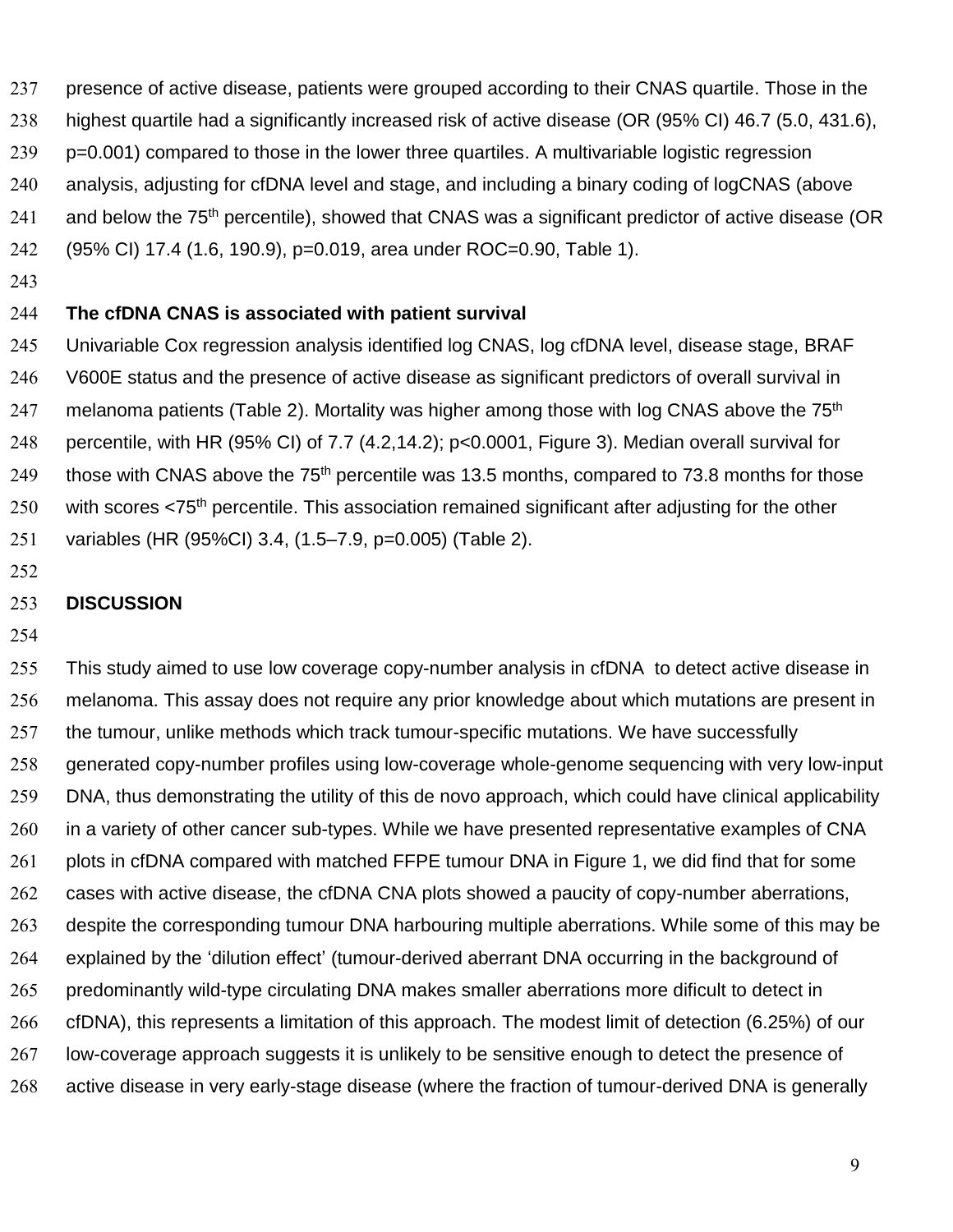presence of active disease, patients were grouped according to their CNAS quartile. Those in the highest quartile had a significantly increased risk of active disease (OR (95% CI) 46.7 (5.0, 431.6), 239 p=0.001) compared to those in the lower three quartiles. A multivariable logistic regression analysis, adjusting for cfDNA level and stage, and including a binary coding of logCNAS (above 241 and below the  $75<sup>th</sup>$  percentile), showed that CNAS was a significant predictor of active disease (OR (95% CI) 17.4 (1.6, 190.9), p=0.019, area under ROC=0.90, Table 1).

#### **The cfDNA CNAS is associated with patient survival**

Univariable Cox regression analysis identified log CNAS, log cfDNA level, disease stage, BRAF V600E status and the presence of active disease as significant predictors of overall survival in 247 melanoma patients (Table 2). Mortality was higher among those with log CNAS above the  $75<sup>th</sup>$ percentile, with HR (95% CI) of 7.7 (4.2,14.2); p<0.0001, Figure 3). Median overall survival for 249 those with CNAS above the  $75<sup>th</sup>$  percentile was 13.5 months, compared to 73.8 months for those with scores <75<sup>th</sup> percentile. This association remained significant after adjusting for the other variables (HR (95%CI) 3.4, (1.5–7.9, p=0.005) (Table 2).

#### **DISCUSSION**

This study aimed to use low coverage copy-number analysis in cfDNA to detect active disease in melanoma. This assay does not require any prior knowledge about which mutations are present in the tumour, unlike methods which track tumour-specific mutations. We have successfully generated copy-number profiles using low-coverage whole-genome sequencing with very low-input DNA, thus demonstrating the utility of this de novo approach, which could have clinical applicability 260 in a variety of other cancer sub-types. While we have presented representative examples of CNA 261 plots in cfDNA compared with matched FFPE tumour DNA in Figure 1, we did find that for some cases with active disease, the cfDNA CNA plots showed a paucity of copy-number aberrations, 263 despite the corresponding tumour DNA harbouring multiple aberrations. While some of this may be explained by the 'dilution effect' (tumour-derived aberrant DNA occurring in the background of predominantly wild-type circulating DNA makes smaller aberrations more dificult to detect in cfDNA), this represents a limitation of this approach. The modest limit of detection (6.25%) of our 267 low-coverage approach suggests it is unlikely to be sensitive enough to detect the presence of active disease in very early-stage disease (where the fraction of tumour-derived DNA is generally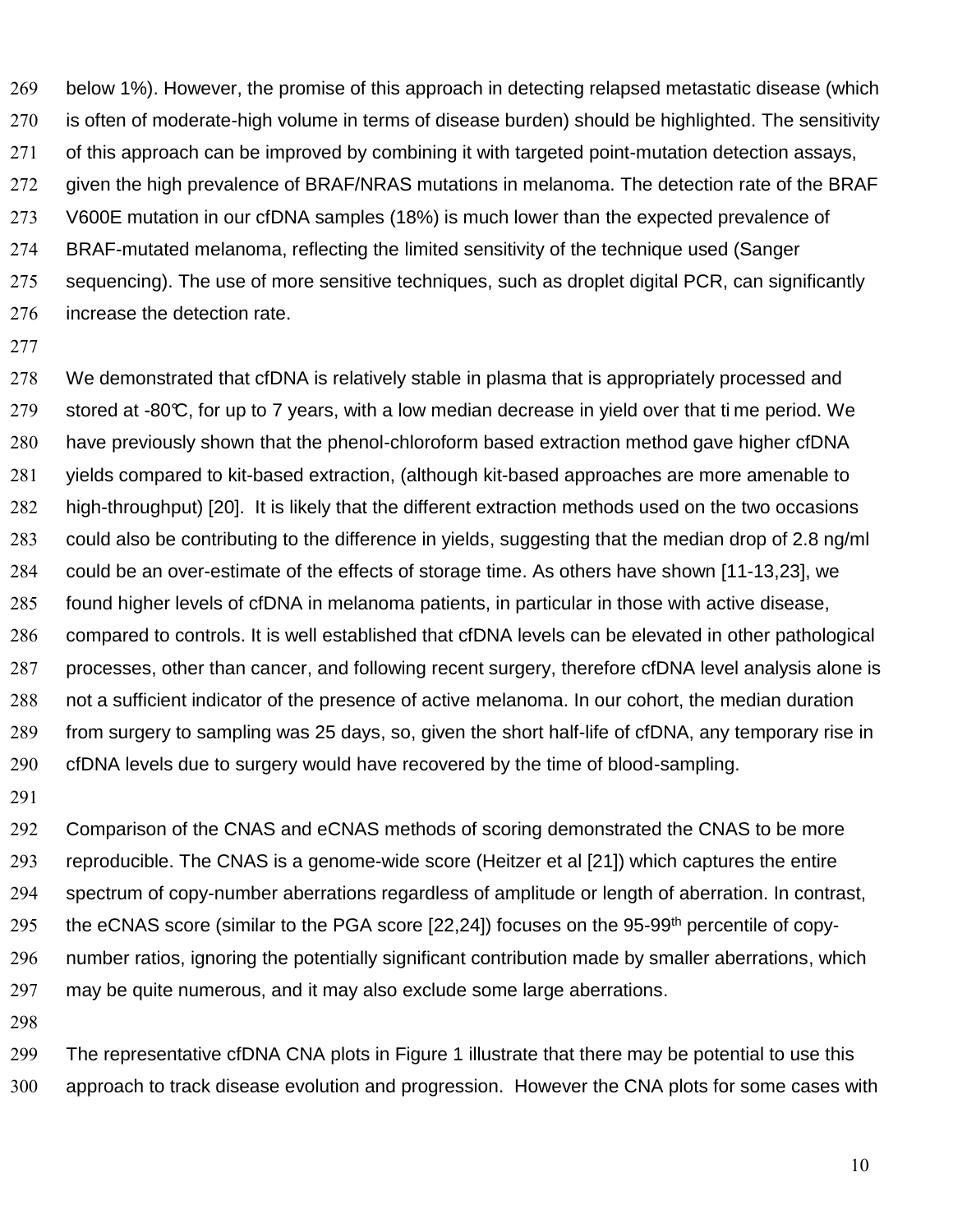below 1%). However, the promise of this approach in detecting relapsed metastatic disease (which is often of moderate-high volume in terms of disease burden) should be highlighted. The sensitivity of this approach can be improved by combining it with targeted point-mutation detection assays, given the high prevalence of BRAF/NRAS mutations in melanoma. The detection rate of the BRAF V600E mutation in our cfDNA samples (18%) is much lower than the expected prevalence of BRAF-mutated melanoma, reflecting the limited sensitivity of the technique used (Sanger sequencing). The use of more sensitive techniques, such as droplet digital PCR, can significantly increase the detection rate.

We demonstrated that cfDNA is relatively stable in plasma that is appropriately processed and 279 stored at -80 $\mathbb{C}$ , for up to 7 years, with a low median decrease in yield over that ti me period. We have previously shown that the phenol-chloroform based extraction method gave higher cfDNA yields compared to kit-based extraction, (although kit-based approaches are more amenable to high-throughput) [20]. It is likely that the different extraction methods used on the two occasions could also be contributing to the difference in yields, suggesting that the median drop of 2.8 ng/ml could be an over-estimate of the effects of storage time. As others have shown [11-13,23], we found higher levels of cfDNA in melanoma patients, in particular in those with active disease, compared to controls. It is well established that cfDNA levels can be elevated in other pathological processes, other than cancer, and following recent surgery, therefore cfDNA level analysis alone is not a sufficient indicator of the presence of active melanoma. In our cohort, the median duration from surgery to sampling was 25 days, so, given the short half-life of cfDNA, any temporary rise in cfDNA levels due to surgery would have recovered by the time of blood-sampling.

Comparison of the CNAS and eCNAS methods of scoring demonstrated the CNAS to be more reproducible. The CNAS is a genome-wide score (Heitzer et al [21]) which captures the entire spectrum of copy-number aberrations regardless of amplitude or length of aberration. In contrast, 295 the eCNAS score (similar to the PGA score  $[22,24]$ ) focuses on the 95-99<sup>th</sup> percentile of copy-number ratios, ignoring the potentially significant contribution made by smaller aberrations, which may be quite numerous, and it may also exclude some large aberrations.

The representative cfDNA CNA plots in Figure 1 illustrate that there may be potential to use this approach to track disease evolution and progression. However the CNA plots for some cases with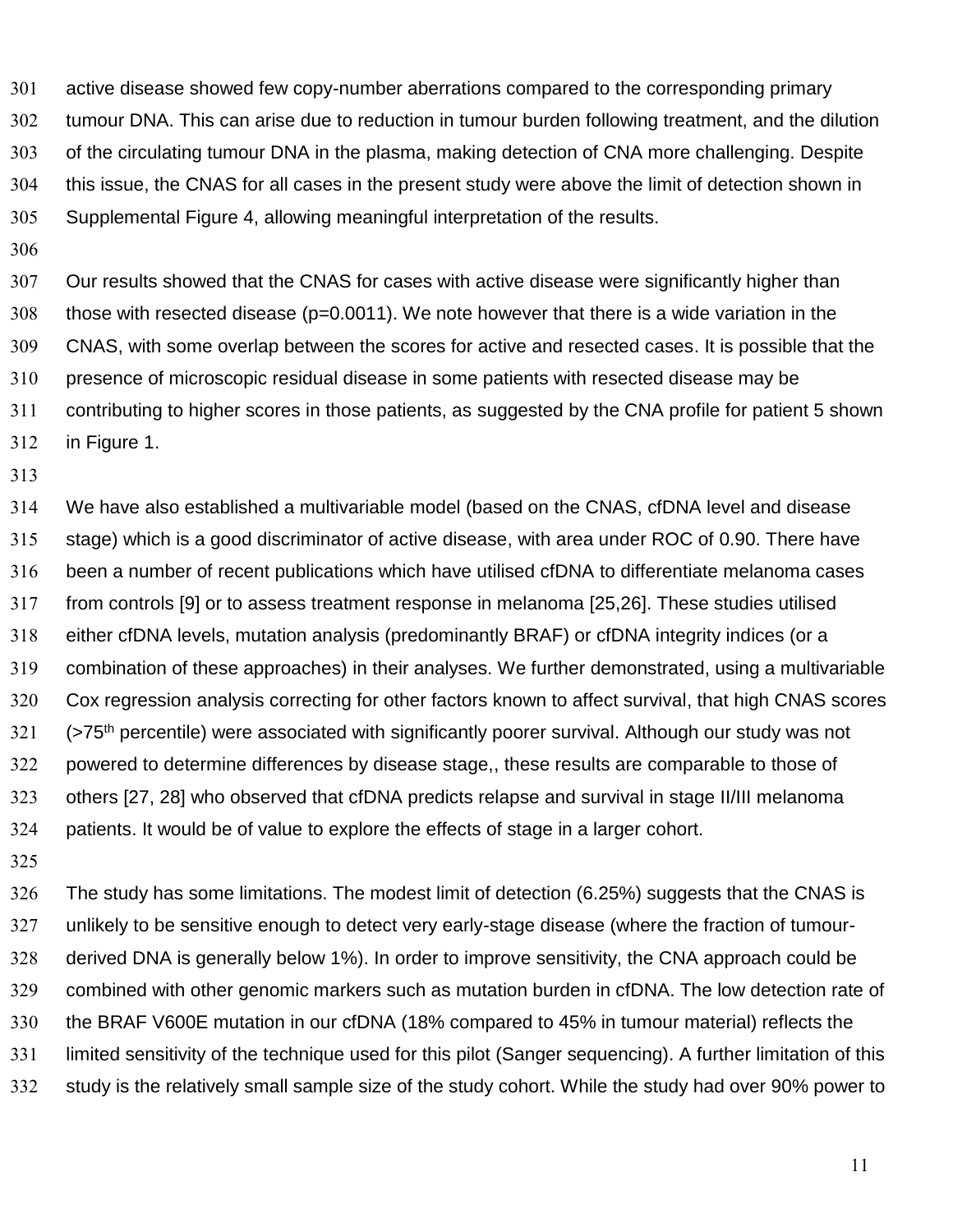active disease showed few copy-number aberrations compared to the corresponding primary tumour DNA. This can arise due to reduction in tumour burden following treatment, and the dilution of the circulating tumour DNA in the plasma, making detection of CNA more challenging. Despite this issue, the CNAS for all cases in the present study were above the limit of detection shown in Supplemental Figure 4, allowing meaningful interpretation of the results.

Our results showed that the CNAS for cases with active disease were significantly higher than those with resected disease (p=0.0011). We note however that there is a wide variation in the CNAS, with some overlap between the scores for active and resected cases. It is possible that the presence of microscopic residual disease in some patients with resected disease may be contributing to higher scores in those patients, as suggested by the CNA profile for patient 5 shown in Figure 1.

We have also established a multivariable model (based on the CNAS, cfDNA level and disease stage) which is a good discriminator of active disease, with area under ROC of 0.90. There have been a number of recent publications which have utilised cfDNA to differentiate melanoma cases from controls [9] or to assess treatment response in melanoma [25,26]. These studies utilised either cfDNA levels, mutation analysis (predominantly BRAF) or cfDNA integrity indices (or a combination of these approaches) in their analyses. We further demonstrated, using a multivariable Cox regression analysis correcting for other factors known to affect survival, that high CNAS scores (>75<sup>th</sup> percentile) were associated with significantly poorer survival. Although our study was not powered to determine differences by disease stage,, these results are comparable to those of others [27, 28] who observed that cfDNA predicts relapse and survival in stage II/III melanoma patients. It would be of value to explore the effects of stage in a larger cohort.

The study has some limitations. The modest limit of detection (6.25%) suggests that the CNAS is unlikely to be sensitive enough to detect very early-stage disease (where the fraction of tumour-derived DNA is generally below 1%). In order to improve sensitivity, the CNA approach could be combined with other genomic markers such as mutation burden in cfDNA. The low detection rate of the BRAF V600E mutation in our cfDNA (18% compared to 45% in tumour material) reflects the limited sensitivity of the technique used for this pilot (Sanger sequencing). A further limitation of this study is the relatively small sample size of the study cohort. While the study had over 90% power to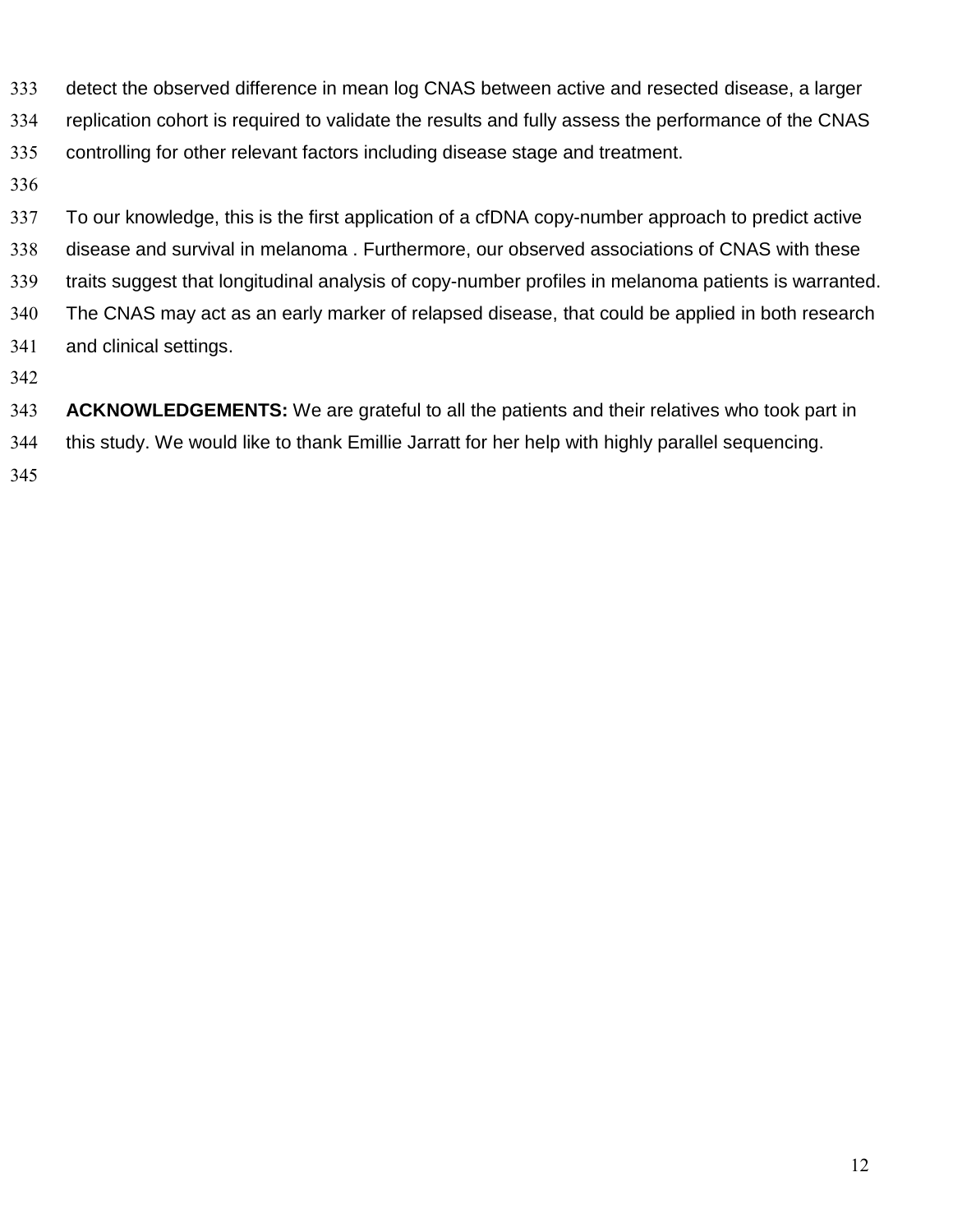- detect the observed difference in mean log CNAS between active and resected disease, a larger
- replication cohort is required to validate the results and fully assess the performance of the CNAS
- controlling for other relevant factors including disease stage and treatment.
- 

To our knowledge, this is the first application of a cfDNA copy-number approach to predict active disease and survival in melanoma . Furthermore, our observed associations of CNAS with these traits suggest that longitudinal analysis of copy-number profiles in melanoma patients is warranted. The CNAS may act as an early marker of relapsed disease, that could be applied in both research and clinical settings.

**ACKNOWLEDGEMENTS:** We are grateful to all the patients and their relatives who took part in this study. We would like to thank Emillie Jarratt for her help with highly parallel sequencing.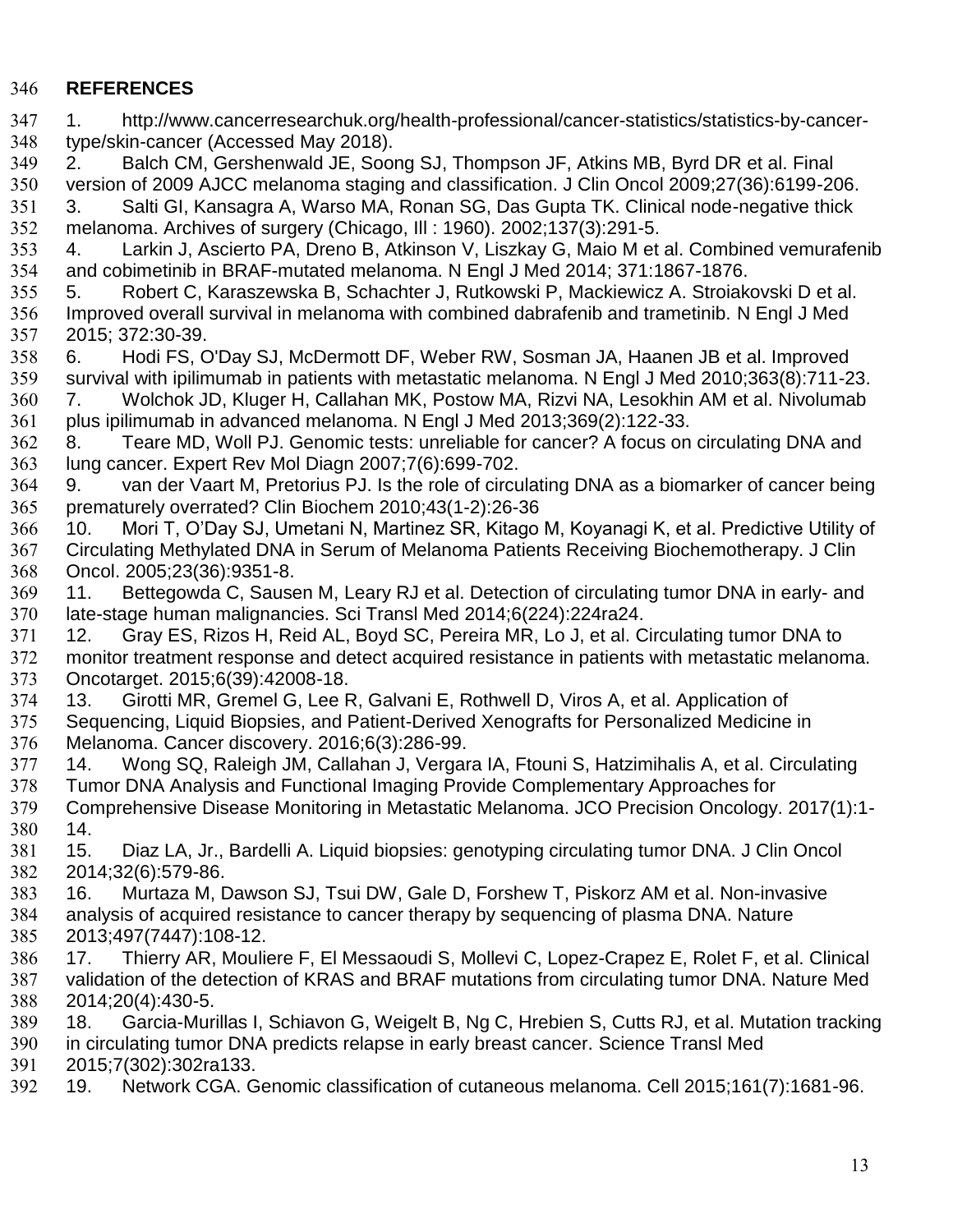# **REFERENCES**

| 347        | http://www.cancerresearchuk.org/health-professional/cancer-statistics/statistics-by-cancer-<br>$1_{\cdot}$                                                                    |
|------------|-------------------------------------------------------------------------------------------------------------------------------------------------------------------------------|
| 348        | type/skin-cancer (Accessed May 2018).                                                                                                                                         |
| 349        | Balch CM, Gershenwald JE, Soong SJ, Thompson JF, Atkins MB, Byrd DR et al. Final<br>2.                                                                                        |
| 350        | version of 2009 AJCC melanoma staging and classification. J Clin Oncol 2009;27(36):6199-206.                                                                                  |
| 351        | Salti GI, Kansagra A, Warso MA, Ronan SG, Das Gupta TK. Clinical node-negative thick<br>3.                                                                                    |
| 352        | melanoma. Archives of surgery (Chicago, III : 1960). 2002;137(3):291-5.                                                                                                       |
| 353        | Larkin J, Ascierto PA, Dreno B, Atkinson V, Liszkay G, Maio M et al. Combined vemurafenib<br>4.                                                                               |
| 354        | and cobimetinib in BRAF-mutated melanoma. N Engl J Med 2014; 371:1867-1876.                                                                                                   |
| 355        | Robert C, Karaszewska B, Schachter J, Rutkowski P, Mackiewicz A. Stroiakovski D et al.<br>5.                                                                                  |
| 356        | Improved overall survival in melanoma with combined dabrafenib and trametinib. N Engl J Med                                                                                   |
| 357        | 2015; 372:30-39.                                                                                                                                                              |
| 358        | Hodi FS, O'Day SJ, McDermott DF, Weber RW, Sosman JA, Haanen JB et al. Improved<br>6.                                                                                         |
| 359        | survival with ipilimumab in patients with metastatic melanoma. N Engl J Med 2010;363(8):711-23.                                                                               |
| 360        | Wolchok JD, Kluger H, Callahan MK, Postow MA, Rizvi NA, Lesokhin AM et al. Nivolumab<br>7.                                                                                    |
| 361        | plus ipilimumab in advanced melanoma. N Engl J Med 2013;369(2):122-33.                                                                                                        |
| 362        | Teare MD, Woll PJ. Genomic tests: unreliable for cancer? A focus on circulating DNA and<br>8.                                                                                 |
| 363        | lung cancer. Expert Rev Mol Diagn 2007;7(6):699-702.                                                                                                                          |
| 364        | van der Vaart M, Pretorius PJ. Is the role of circulating DNA as a biomarker of cancer being<br>9.                                                                            |
| 365        | prematurely overrated? Clin Biochem 2010;43(1-2):26-36                                                                                                                        |
| 366        | Mori T, O'Day SJ, Umetani N, Martinez SR, Kitago M, Koyanagi K, et al. Predictive Utility of<br>10.                                                                           |
| 367        | Circulating Methylated DNA in Serum of Melanoma Patients Receiving Biochemotherapy. J Clin                                                                                    |
| 368        | Oncol. 2005;23(36):9351-8.                                                                                                                                                    |
| 369        | Bettegowda C, Sausen M, Leary RJ et al. Detection of circulating tumor DNA in early- and<br>11.                                                                               |
| 370        | late-stage human malignancies. Sci Transl Med 2014;6(224):224ra24.                                                                                                            |
| 371        | Gray ES, Rizos H, Reid AL, Boyd SC, Pereira MR, Lo J, et al. Circulating tumor DNA to<br>12.                                                                                  |
| 372        | monitor treatment response and detect acquired resistance in patients with metastatic melanoma.                                                                               |
| 373        | Oncotarget. 2015;6(39):42008-18.                                                                                                                                              |
| 374        | Girotti MR, Gremel G, Lee R, Galvani E, Rothwell D, Viros A, et al. Application of<br>13.                                                                                     |
| 375        | Sequencing, Liquid Biopsies, and Patient-Derived Xenografts for Personalized Medicine in                                                                                      |
| 376        | Melanoma. Cancer discovery. 2016;6(3):286-99.<br>14.                                                                                                                          |
| 377        | Wong SQ, Raleigh JM, Callahan J, Vergara IA, Ftouni S, Hatzimihalis A, et al. Circulating                                                                                     |
| 378<br>379 | Tumor DNA Analysis and Functional Imaging Provide Complementary Approaches for<br>Comprehensive Disease Monitoring in Metastatic Melanoma. JCO Precision Oncology. 2017(1):1- |
| 380        | 14.                                                                                                                                                                           |
| 381        | Diaz LA, Jr., Bardelli A. Liquid biopsies: genotyping circulating tumor DNA. J Clin Oncol<br>15.                                                                              |
| 382        | 2014;32(6):579-86.                                                                                                                                                            |
| 383        | Murtaza M, Dawson SJ, Tsui DW, Gale D, Forshew T, Piskorz AM et al. Non-invasive<br>16.                                                                                       |
| 384        | analysis of acquired resistance to cancer therapy by sequencing of plasma DNA. Nature                                                                                         |
| 385        | 2013;497(7447):108-12.                                                                                                                                                        |
| 386        | Thierry AR, Mouliere F, El Messaoudi S, Mollevi C, Lopez-Crapez E, Rolet F, et al. Clinical<br>17.                                                                            |
| 387        | validation of the detection of KRAS and BRAF mutations from circulating tumor DNA. Nature Med                                                                                 |
| 388        | 2014;20(4):430-5.                                                                                                                                                             |
| 389        | Garcia-Murillas I, Schiavon G, Weigelt B, Ng C, Hrebien S, Cutts RJ, et al. Mutation tracking<br>18.                                                                          |
| 390        | in circulating tumor DNA predicts relapse in early breast cancer. Science Transl Med                                                                                          |
| 391        | 2015;7(302):302ra133.                                                                                                                                                         |
| 392        | Network CGA. Genomic classification of cutaneous melanoma. Cell 2015;161(7):1681-96.<br>19.                                                                                   |
|            |                                                                                                                                                                               |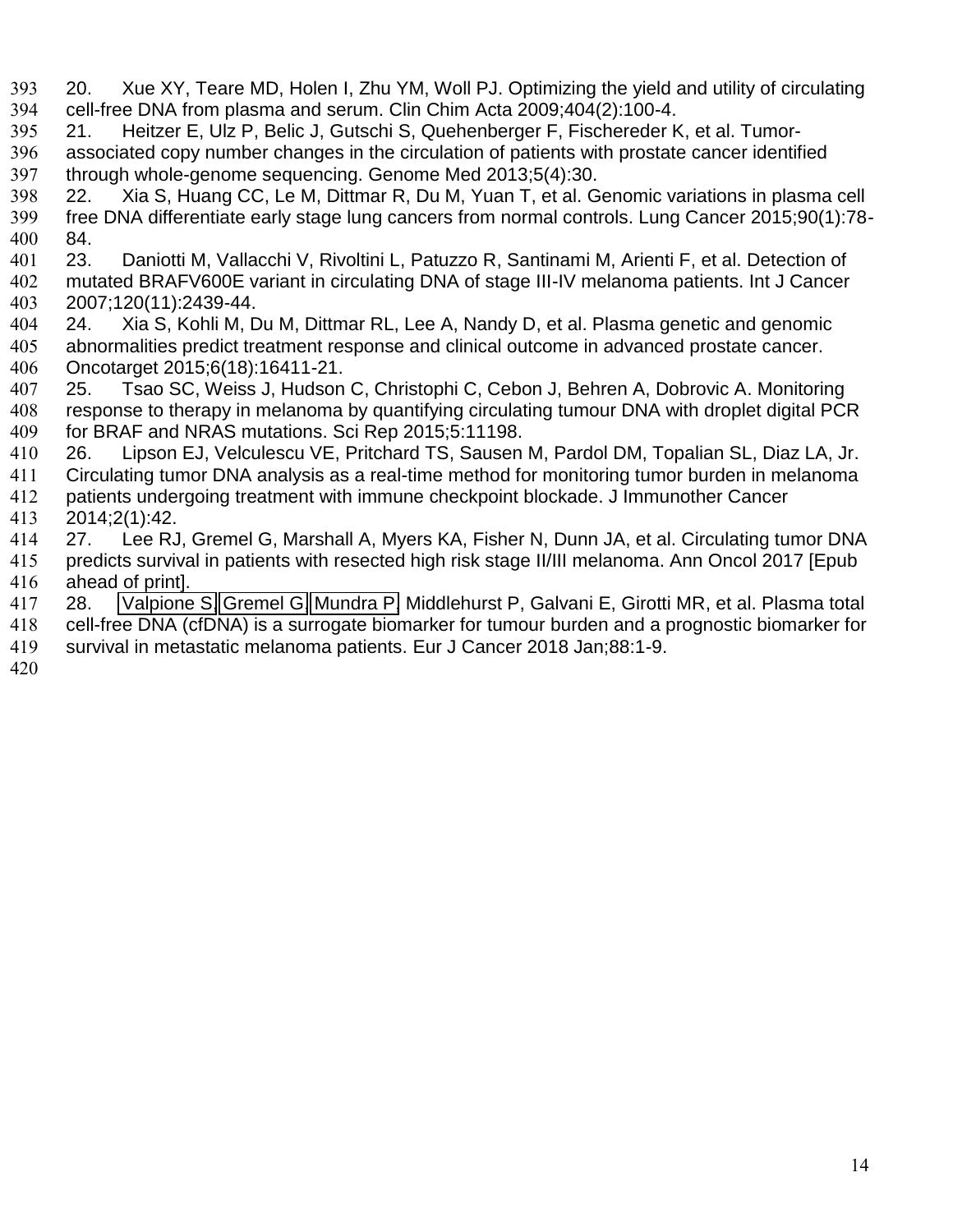- 20. Xue XY, Teare MD, Holen I, Zhu YM, Woll PJ. Optimizing the yield and utility of circulating cell-free DNA from plasma and serum. Clin Chim Acta 2009;404(2):100-4.
- 21. Heitzer E, Ulz P, Belic J, Gutschi S, Quehenberger F, Fischereder K, et al. Tumor-associated copy number changes in the circulation of patients with prostate cancer identified through whole-genome sequencing. Genome Med 2013;5(4):30.
- 22. Xia S, Huang CC, Le M, Dittmar R, Du M, Yuan T, et al. Genomic variations in plasma cell free DNA differentiate early stage lung cancers from normal controls. Lung Cancer 2015;90(1):78- 84.
- 23. Daniotti M, Vallacchi V, Rivoltini L, Patuzzo R, Santinami M, Arienti F, et al. Detection of mutated BRAFV600E variant in circulating DNA of stage III-IV melanoma patients. Int J Cancer 2007;120(11):2439-44.
- 24. Xia S, Kohli M, Du M, Dittmar RL, Lee A, Nandy D, et al. Plasma genetic and genomic abnormalities predict treatment response and clinical outcome in advanced prostate cancer. Oncotarget 2015;6(18):16411-21.
- 25. Tsao SC, Weiss J, Hudson C, Christophi C, Cebon J, Behren A, Dobrovic A. Monitoring response to therapy in melanoma by quantifying circulating tumour DNA with droplet digital PCR for BRAF and NRAS mutations. Sci Rep 2015;5:11198.
- 26. Lipson EJ, Velculescu VE, Pritchard TS, Sausen M, Pardol DM, Topalian SL, Diaz LA, Jr.
- Circulating tumor DNA analysis as a real-time method for monitoring tumor burden in melanoma
- patients undergoing treatment with immune checkpoint blockade. J Immunother Cancer 2014;2(1):42.
- 27. Lee RJ, Gremel G, Marshall A, Myers KA, Fisher N, Dunn JA, et al. Circulating tumor DNA
- predicts survival in patients with resected high risk stage II/III melanoma. Ann Oncol 2017 [Epub ahead of print].
- 28. [Valpione S,](https://www.ncbi.nlm.nih.gov/pubmed/?term=Valpione%20S%5BAuthor%5D&cauthor=true&cauthor_uid=29175734) [Gremel G,](https://www.ncbi.nlm.nih.gov/pubmed/?term=Gremel%20G%5BAuthor%5D&cauthor=true&cauthor_uid=29175734) [Mundra P,](https://www.ncbi.nlm.nih.gov/pubmed/?term=Mundra%20P%5BAuthor%5D&cauthor=true&cauthor_uid=29175734) Middlehurst P, Galvani E, Girotti MR, et al. Plasma total cell-free DNA (cfDNA) is a surrogate biomarker for tumour burden and a prognostic biomarker for
- survival in metastatic melanoma patients. Eur J Cancer 2018 Jan;88:1-9.
-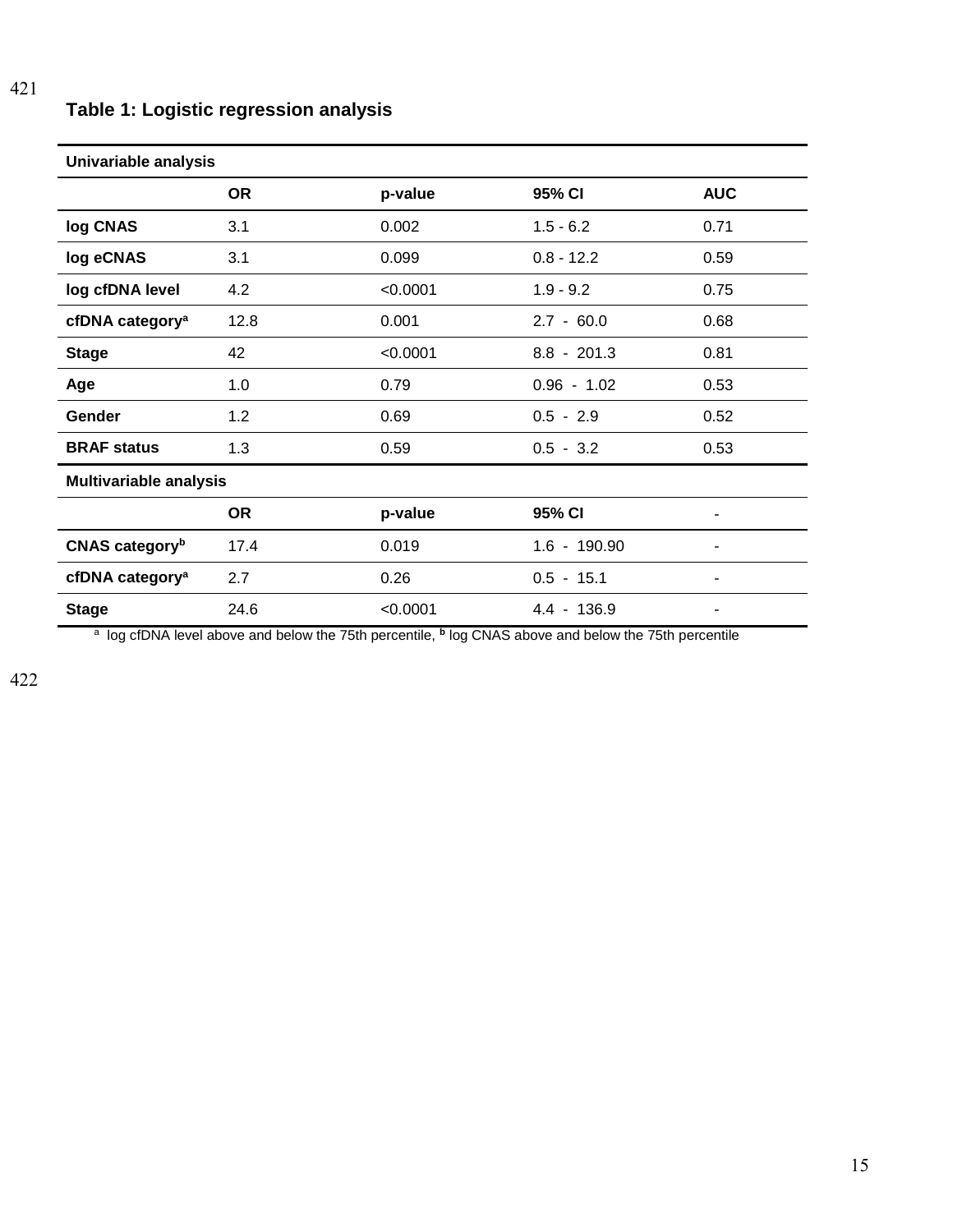## **Table 1: Logistic regression analysis**

| Univariable analysis              |           |          |                |            |  |  |
|-----------------------------------|-----------|----------|----------------|------------|--|--|
|                                   | <b>OR</b> | p-value  | 95% CI         | <b>AUC</b> |  |  |
| log CNAS                          | 3.1       | 0.002    | $1.5 - 6.2$    | 0.71       |  |  |
| log eCNAS                         | 3.1       | 0.099    | $0.8 - 12.2$   | 0.59       |  |  |
| log cfDNA level                   | 4.2       | < 0.0001 | $1.9 - 9.2$    | 0.75       |  |  |
| cfDNA category <sup>a</sup>       | 12.8      | 0.001    | $2.7 - 60.0$   | 0.68       |  |  |
| <b>Stage</b>                      | 42        | < 0.0001 | $8.8 - 201.3$  | 0.81       |  |  |
| Age                               | 1.0       | 0.79     | $0.96 - 1.02$  | 0.53       |  |  |
| <b>Gender</b>                     | 1.2       | 0.69     | $0.5 - 2.9$    | 0.52       |  |  |
| <b>BRAF status</b>                | 1.3       | 0.59     | $0.5 - 3.2$    | 0.53       |  |  |
| <b>Multivariable analysis</b>     |           |          |                |            |  |  |
|                                   | <b>OR</b> | p-value  | 95% CI         |            |  |  |
| <b>CNAS category</b> <sup>b</sup> | 17.4      | 0.019    | $1.6 - 190.90$ | ٠          |  |  |
| cfDNA category <sup>a</sup>       | 2.7       | 0.26     | $0.5 - 15.1$   | ٠          |  |  |
| <b>Stage</b>                      | 24.6      | < 0.0001 | 4.4 - 136.9    |            |  |  |

<sup>a</sup> log cfDNA level above and below the 75th percentile, <sup>b</sup> log CNAS above and below the 75th percentile

421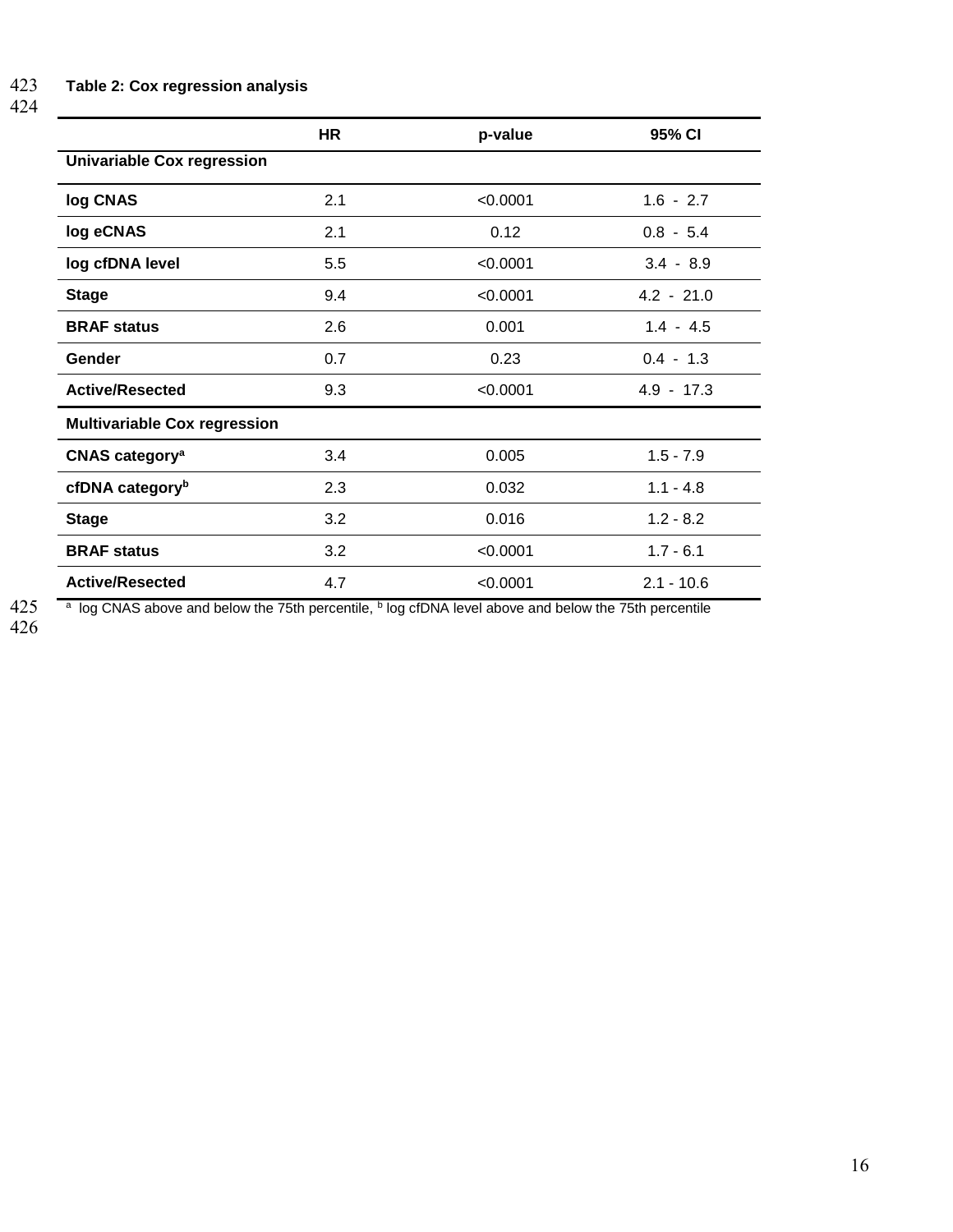424

|                                     | <b>HR</b> | p-value  | 95% CI       |  |  |  |
|-------------------------------------|-----------|----------|--------------|--|--|--|
| <b>Univariable Cox regression</b>   |           |          |              |  |  |  |
| log CNAS                            | 2.1       | < 0.0001 | $1.6 - 2.7$  |  |  |  |
| log eCNAS                           | 2.1       | 0.12     | $0.8 - 5.4$  |  |  |  |
| log cfDNA level                     | 5.5       | < 0.0001 | $3.4 - 8.9$  |  |  |  |
| <b>Stage</b>                        | 9.4       | < 0.0001 | $4.2 - 21.0$ |  |  |  |
| <b>BRAF</b> status                  | 2.6       | 0.001    | $1.4 - 4.5$  |  |  |  |
| Gender                              | 0.7       | 0.23     | $0.4 - 1.3$  |  |  |  |
| <b>Active/Resected</b>              | 9.3       | < 0.0001 | $4.9 - 17.3$ |  |  |  |
| <b>Multivariable Cox regression</b> |           |          |              |  |  |  |
| <b>CNAS category<sup>a</sup></b>    | 3.4       | 0.005    | $1.5 - 7.9$  |  |  |  |
| cfDNA category <sup>b</sup>         | 2.3       | 0.032    | $1.1 - 4.8$  |  |  |  |
| <b>Stage</b>                        | 3.2       | 0.016    | $1.2 - 8.2$  |  |  |  |
| <b>BRAF status</b>                  | 3.2       | < 0.0001 | $1.7 - 6.1$  |  |  |  |
| <b>Active/Resected</b>              | 4.7       | < 0.0001 | $2.1 - 10.6$ |  |  |  |

425<br>426

425 a log CNAS above and below the 75th percentile, <sup>b</sup> log cfDNA level above and below the 75th percentile